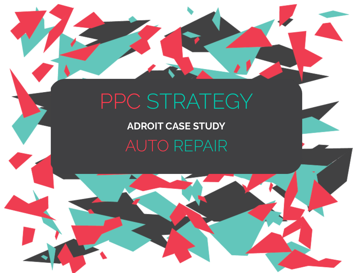# PPC STRATEGY

**ADROIT CASE STUDY** AUTO REPAIR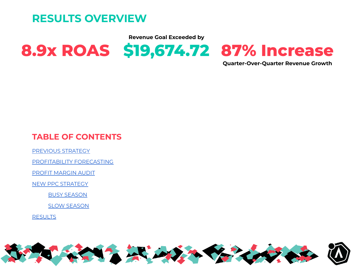**RESULTS OVERVIEW**

**Revenue Goal Exceeded by**



**Quarter-Over-Quarter Revenue Growth**

### **TABLE OF CONTENTS**

[PREVIOUS](#page-2-0) STRATEGY

[PROFITABILITY](#page-3-0) FORECASTING

PROFIT [MARGIN](#page-4-0) AUDIT

NEW PPC [STRATEGY](#page-5-0)

BUSY [SEASON](#page-5-1)

SLOW [SEASON](#page-5-2)

**[RESULTS](#page-6-0)** 

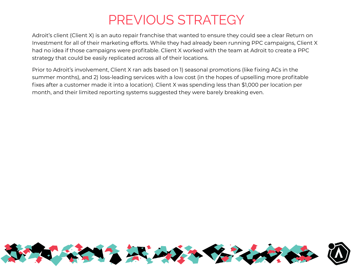## PREVIOUS STRATEGY

<span id="page-2-0"></span>Adroit's client (Client X) is an auto repair franchise that wanted to ensure they could see a clear Return on Investment for all of their marketing efforts. While they had already been running PPC campaigns, Client X had no idea if those campaigns were profitable. Client X worked with the team at Adroit to create a PPC strategy that could be easily replicated across all of their locations.

Prior to Adroit's involvement, Client X ran ads based on 1) seasonal promotions (like fixing ACs in the summer months), and 2) loss-leading services with a low cost (in the hopes of upselling more profitable fixes after a customer made it into a location). Client X was spending less than \$1,000 per location per month, and their limited reporting systems suggested they were barely breaking even.

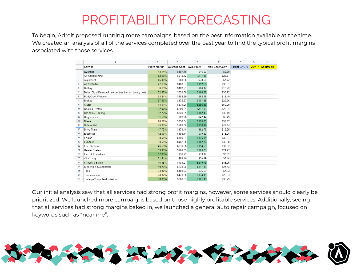# PROFITABILITY FORECASTING

<span id="page-3-0"></span>To begin, Adroit proposed running more campaigns, based on the best information available at the time. We created an analysis of all of the services completed over the past year to find the typical profit margins associated with those services.

|                | A                                                         | B             | C                        | D        | E             | F            | G | H                 |
|----------------|-----------------------------------------------------------|---------------|--------------------------|----------|---------------|--------------|---|-------------------|
| $\overline{1}$ | Service                                                   | Profit Margin | Average Cost Avg. Profit |          | Max Cost/Conv | Target CAC % |   | 20% <- Adjustable |
| $\overline{2}$ | Average                                                   | 43.14%        | \$107.79                 | \$46.50  | \$9.30        |              |   |                   |
| $\overline{3}$ | Air Conditioning                                          | 52.66%        | \$212.42                 | \$111.86 | \$22.37       |              |   |                   |
| $\overline{4}$ | Alignment                                                 | 46.00%        | \$83.88                  | \$38.58  | \$7.72        |              |   |                   |
| 5              | Alt & Starter                                             | 47.13%        | \$408.57                 | \$192.56 | \$38.51       |              |   |                   |
| 6              | Battery                                                   | 36.15%        | \$182.91                 | \$66.12  | \$13.22       |              |   |                   |
| $\overline{7}$ | Belts (Big difference in serpentine belt vs. timing belt) | 52.55%        | \$320.88                 | \$168.62 | \$33.72       |              |   |                   |
| 8              | Body/Door/Window                                          | 34.24%        | \$182.39                 | \$62.45  | \$12.49       |              |   |                   |
| 9              | <b>Brakes</b>                                             | 57.66%        | \$175.67                 | \$101.29 | \$20.26       |              |   |                   |
| 10             | Clutch                                                    | 43.51%        | \$679.00                 | \$295.43 | \$59.09       |              |   |                   |
| 11             | Cooling System                                            | 52.97%        | \$209.61                 | \$111.03 | \$22.21       |              |   |                   |
| 12             | CV Axle / Bearing                                         | 52.22%        | \$349.35                 | \$182.43 | \$36.49       |              |   |                   |
| 13             | Diagnostics                                               | 51.58%        | \$82.28                  | \$42.44  | \$8.49        |              |   |                   |
| 14             | Diesel                                                    | 26.59%        | \$736.54                 | \$195.85 | \$39.17       |              |   |                   |
| 15             | Differential                                              | 40.23%        | \$592.05                 | \$238.18 | \$47.64       |              |   |                   |
| 16             | Drive Train                                               | 47.73%        | \$173.40                 | \$82.76  | \$16.55       |              |   |                   |
| 17             | Electrical                                                | 42.87%        | \$186.14                 | \$79.80  | \$15.96       |              |   |                   |
| 18             | Engine                                                    | 38.51%        | \$459.21                 | \$176.84 | \$35.37       |              |   |                   |
| 19             | Exhaust                                                   | 39.51%        | \$462.88                 | \$182.88 | \$36.58       |              |   |                   |
| 20             | Fuel System                                               | 46.58%        | \$331.88                 | \$154.59 | \$30.92       |              |   |                   |
| 21             | Heater System                                             | 53.01%        | \$200.63                 | \$106.35 | \$21.27       |              |   |                   |
| 22             | Insp. & Emissions                                         | 67.83%        | \$26.72                  | \$18.12  | \$3.62        |              |   |                   |
| 23             | Oil Change                                                | 51.51%        | \$59.19                  | \$30.49  | \$6.10        |              |   |                   |
| 24             | Shocks & Struts                                           | 45.38%        | \$484.21                 | \$219.73 | \$43.95       |              |   |                   |
| 25             | Steering & Suspension                                     | 49.20%        | \$238.06                 | \$117.13 | \$23.43       |              |   |                   |
| 26             | Tires                                                     | 33.87%        | \$108.34                 | \$36.69  | \$7.34        |              |   |                   |
| 27             | Transmission                                              | 28.32%        | \$473.68                 | \$134.15 | \$26.83       |              |   |                   |
| 28             | Tuneup-Computer-Emission                                  | 58.85%        | \$308.33                 | \$181.45 | \$36.29       |              |   |                   |
|                |                                                           |               |                          |          |               |              |   |                   |

Our initial analysis saw that all services had strong profit margins, however, some services should clearly be prioritized. We launched more campaigns based on those highly profitable services. Additionally, seeing that all services had strong margins baked in, we launched a general auto repair campaign, focused on keywords such as "near me".

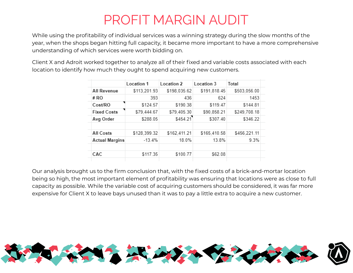# PROFIT MARGIN AUDIT

<span id="page-4-0"></span>While using the profitability of individual services was a winning strategy during the slow months of the year, when the shops began hitting full capacity, it became more important to have a more comprehensive understanding of which services were worth bidding on.

Client X and Adroit worked together to analyze all of their fixed and variable costs associated with each location to identify how much they ought to spend acquiring new customers.

|                       | Location 1   | Location 2   | Location 3   | Total        |  |
|-----------------------|--------------|--------------|--------------|--------------|--|
| All Revenue           | \$113,201.93 | \$198,035.62 | \$191,818.45 | \$503,056.00 |  |
| # RO                  | 393          | 436          | 624          | 1453         |  |
| Cost/RO               | \$124.57     | \$190.38     | \$119.47     | \$144.81     |  |
| <b>Fixed Costs</b>    | \$79,444.67  | \$79,405.30  | \$90,858.21  | \$249,708.18 |  |
| Avg Order             | \$288.05     | \$454.21     | \$307.40     | \$346.22     |  |
|                       |              |              |              |              |  |
| All Costs             | \$128,399.32 | \$162,411.21 | \$165,410.58 | \$456,221.11 |  |
| <b>Actual Margins</b> | $-13.4%$     | 18.0%        | 13.8%        | 9.3%         |  |
| CAC                   | \$117.35     | \$100.77     | \$62.08      |              |  |
|                       |              |              |              |              |  |

Our analysis brought us to the firm conclusion that, with the fixed costs of a brick-and-mortar location being so high, the most important element of profitability was ensuring that locations were as close to full capacity as possible. While the variable cost of acquiring customers should be considered, it was far more expensive for Client X to leave bays unused than it was to pay a little extra to acquire a new customer.

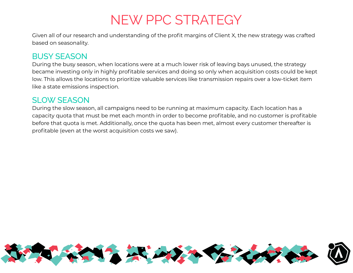## NEW PPC STRATEGY

<span id="page-5-0"></span>Given all of our research and understanding of the profit margins of Client X, the new strategy was crafted based on seasonality.

### <span id="page-5-1"></span>BUSY SEASON

During the busy season, when locations were at a much lower risk of leaving bays unused, the strategy became investing only in highly profitable services and doing so only when acquisition costs could be kept low. This allows the locations to prioritize valuable services like transmission repairs over a low-ticket item like a state emissions inspection.

#### <span id="page-5-2"></span>SLOW SFASON

During the slow season, all campaigns need to be running at maximum capacity. Each location has a capacity quota that must be met each month in order to become profitable, and no customer is profitable before that quota is met. Additionally, once the quota has been met, almost every customer thereafter is profitable (even at the worst acquisition costs we saw).